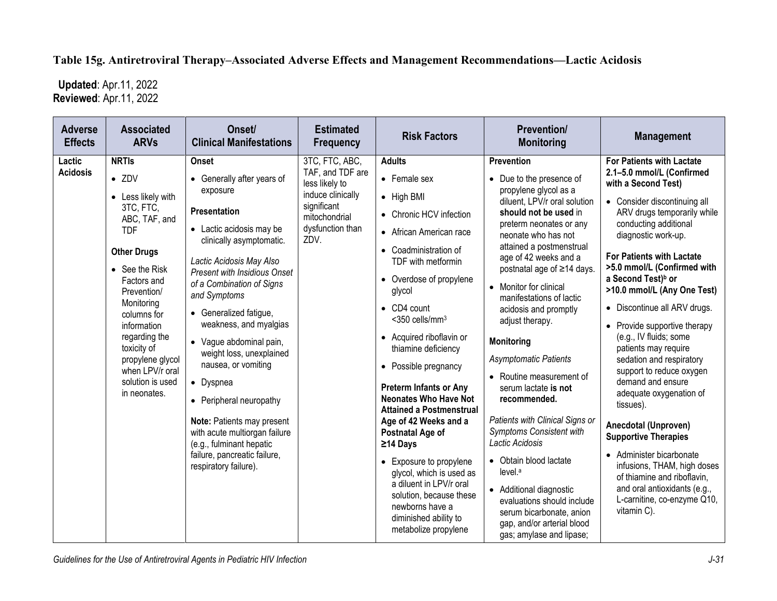## **Table 15g. Antiretroviral Therapy–Associated Adverse Effects and Management Recommendations—Lactic Acidosis**

 **Updated**: Apr.11, 2022 **Reviewed**: Apr.11, 2022

| <b>Adverse</b><br><b>Effects</b> | <b>Associated</b><br><b>ARVs</b>                                                                                                                                                                                                                                                                                             | Onset/<br><b>Clinical Manifestations</b>                                                                                                                                                                                                                                                                                                                                                                                                                                                                                                                                     | <b>Estimated</b><br><b>Frequency</b>                                                                                                  | <b>Risk Factors</b>                                                                                                                                                                                                                                                                                                                                                                                                                                                                                                                                                                                                                                           | <b>Prevention/</b><br><b>Monitoring</b>                                                                                                                                                                                                                                                                                                                                                                                                                                                                                                                                                                                                                                                                                                                                    | <b>Management</b>                                                                                                                                                                                                                                                                                                                                                                                                                                                                                                                                                                                                                                                                                                                                                                                             |
|----------------------------------|------------------------------------------------------------------------------------------------------------------------------------------------------------------------------------------------------------------------------------------------------------------------------------------------------------------------------|------------------------------------------------------------------------------------------------------------------------------------------------------------------------------------------------------------------------------------------------------------------------------------------------------------------------------------------------------------------------------------------------------------------------------------------------------------------------------------------------------------------------------------------------------------------------------|---------------------------------------------------------------------------------------------------------------------------------------|---------------------------------------------------------------------------------------------------------------------------------------------------------------------------------------------------------------------------------------------------------------------------------------------------------------------------------------------------------------------------------------------------------------------------------------------------------------------------------------------------------------------------------------------------------------------------------------------------------------------------------------------------------------|----------------------------------------------------------------------------------------------------------------------------------------------------------------------------------------------------------------------------------------------------------------------------------------------------------------------------------------------------------------------------------------------------------------------------------------------------------------------------------------------------------------------------------------------------------------------------------------------------------------------------------------------------------------------------------------------------------------------------------------------------------------------------|---------------------------------------------------------------------------------------------------------------------------------------------------------------------------------------------------------------------------------------------------------------------------------------------------------------------------------------------------------------------------------------------------------------------------------------------------------------------------------------------------------------------------------------------------------------------------------------------------------------------------------------------------------------------------------------------------------------------------------------------------------------------------------------------------------------|
| Lactic<br><b>Acidosis</b>        | <b>NRTIs</b><br>$\bullet$ ZDV<br>• Less likely with<br>3TC, FTC,<br>ABC, TAF, and<br><b>TDF</b><br><b>Other Drugs</b><br>• See the Risk<br>Factors and<br>Prevention/<br>Monitoring<br>columns for<br>information<br>regarding the<br>toxicity of<br>propylene glycol<br>when LPV/r oral<br>solution is used<br>in neonates. | <b>Onset</b><br>• Generally after years of<br>exposure<br>Presentation<br>• Lactic acidosis may be<br>clinically asymptomatic.<br>Lactic Acidosis May Also<br><b>Present with Insidious Onset</b><br>of a Combination of Signs<br>and Symptoms<br>• Generalized fatigue,<br>weakness, and myalgias<br>• Vague abdominal pain,<br>weight loss, unexplained<br>nausea, or vomiting<br>• Dyspnea<br>• Peripheral neuropathy<br>Note: Patients may present<br>with acute multiorgan failure<br>(e.g., fulminant hepatic<br>failure, pancreatic failure,<br>respiratory failure). | 3TC, FTC, ABC,<br>TAF, and TDF are<br>less likely to<br>induce clinically<br>significant<br>mitochondrial<br>dysfunction than<br>ZDV. | <b>Adults</b><br>• Female sex<br>• High BMI<br>• Chronic HCV infection<br>• African American race<br>• Coadministration of<br>TDF with metformin<br>• Overdose of propylene<br>glycol<br>$\bullet$ CD4 count<br>$<$ 350 cells/mm $3$<br>• Acquired riboflavin or<br>thiamine deficiency<br>• Possible pregnancy<br><b>Preterm Infants or Any</b><br><b>Neonates Who Have Not</b><br><b>Attained a Postmenstrual</b><br>Age of 42 Weeks and a<br>Postnatal Age of<br>≥14 Days<br>• Exposure to propylene<br>glycol, which is used as<br>a diluent in LPV/r oral<br>solution, because these<br>newborns have a<br>diminished ability to<br>metabolize propylene | Prevention<br>• Due to the presence of<br>propylene glycol as a<br>diluent, LPV/r oral solution<br>should not be used in<br>preterm neonates or any<br>neonate who has not<br>attained a postmenstrual<br>age of 42 weeks and a<br>postnatal age of ≥14 days.<br>• Monitor for clinical<br>manifestations of lactic<br>acidosis and promptly<br>adjust therapy.<br><b>Monitoring</b><br><b>Asymptomatic Patients</b><br>• Routine measurement of<br>serum lactate is not<br>recommended.<br>Patients with Clinical Signs or<br>Symptoms Consistent with<br>Lactic Acidosis<br>• Obtain blood lactate<br>level. <sup>a</sup><br>• Additional diagnostic<br>evaluations should include<br>serum bicarbonate, anion<br>gap, and/or arterial blood<br>gas; amylase and lipase; | <b>For Patients with Lactate</b><br>2.1-5.0 mmol/L (Confirmed<br>with a Second Test)<br>• Consider discontinuing all<br>ARV drugs temporarily while<br>conducting additional<br>diagnostic work-up.<br><b>For Patients with Lactate</b><br>>5.0 mmol/L (Confirmed with<br>a Second Test) <sup>b</sup> or<br>>10.0 mmol/L (Any One Test)<br>• Discontinue all ARV drugs.<br>• Provide supportive therapy<br>(e.g., IV fluids; some<br>patients may require<br>sedation and respiratory<br>support to reduce oxygen<br>demand and ensure<br>adequate oxygenation of<br>tissues).<br>Anecdotal (Unproven)<br><b>Supportive Therapies</b><br>• Administer bicarbonate<br>infusions, THAM, high doses<br>of thiamine and riboflavin,<br>and oral antioxidants (e.g.,<br>L-carnitine, co-enzyme Q10,<br>vitamin C). |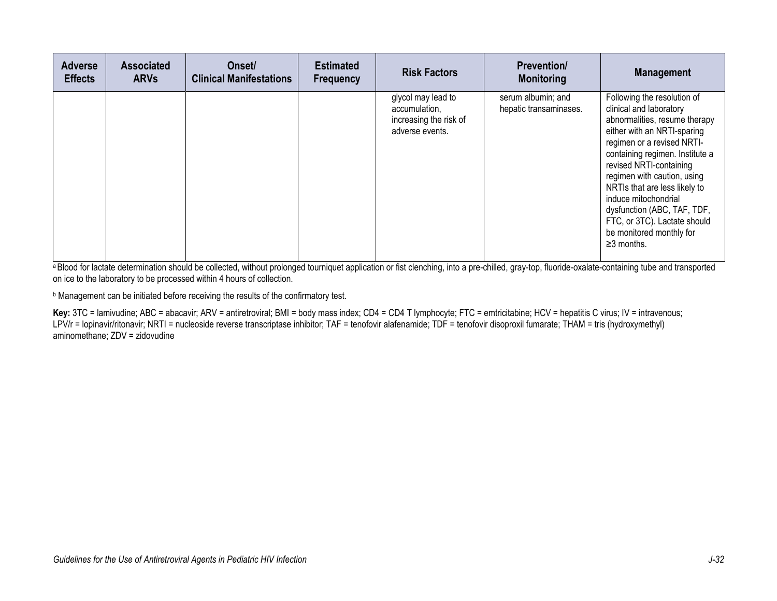| <b>Adverse</b><br><b>Effects</b> | <b>Associated</b><br><b>ARVs</b> | Onset/<br><b>Clinical Manifestations</b> | <b>Estimated</b><br><b>Frequency</b> | <b>Risk Factors</b>                                                              | <b>Prevention/</b><br><b>Monitoring</b>      | <b>Management</b>                                                                                                                                                                                                                                                                                                                                                                                                         |
|----------------------------------|----------------------------------|------------------------------------------|--------------------------------------|----------------------------------------------------------------------------------|----------------------------------------------|---------------------------------------------------------------------------------------------------------------------------------------------------------------------------------------------------------------------------------------------------------------------------------------------------------------------------------------------------------------------------------------------------------------------------|
|                                  |                                  |                                          |                                      | glycol may lead to<br>accumulation,<br>increasing the risk of<br>adverse events. | serum albumin; and<br>hepatic transaminases. | Following the resolution of<br>clinical and laboratory<br>abnormalities, resume therapy<br>either with an NRTI-sparing<br>regimen or a revised NRTI-<br>containing regimen. Institute a<br>revised NRTI-containing<br>regimen with caution, using<br>NRTIs that are less likely to<br>induce mitochondrial<br>dysfunction (ABC, TAF, TDF,<br>FTC, or 3TC). Lactate should<br>be monitored monthly for<br>$\geq$ 3 months. |

a Blood for lactate determination should be collected, without prolonged tourniquet application or fist clenching, into a pre-chilled, gray-top, fluoride-oxalate-containing tube and transported on ice to the laboratory to be processed within 4 hours of collection.

**b** Management can be initiated before receiving the results of the confirmatory test.

**Key:** 3TC = lamivudine; ABC = abacavir; ARV = antiretroviral; BMI = body mass index; CD4 = CD4 T lymphocyte; FTC = emtricitabine; HCV = hepatitis C virus; IV = intravenous; LPV/r = lopinavir/ritonavir; NRTI = nucleoside reverse transcriptase inhibitor; TAF = tenofovir alafenamide; TDF = tenofovir disoproxil fumarate; THAM = tris (hydroxymethyl) aminomethane; ZDV = zidovudine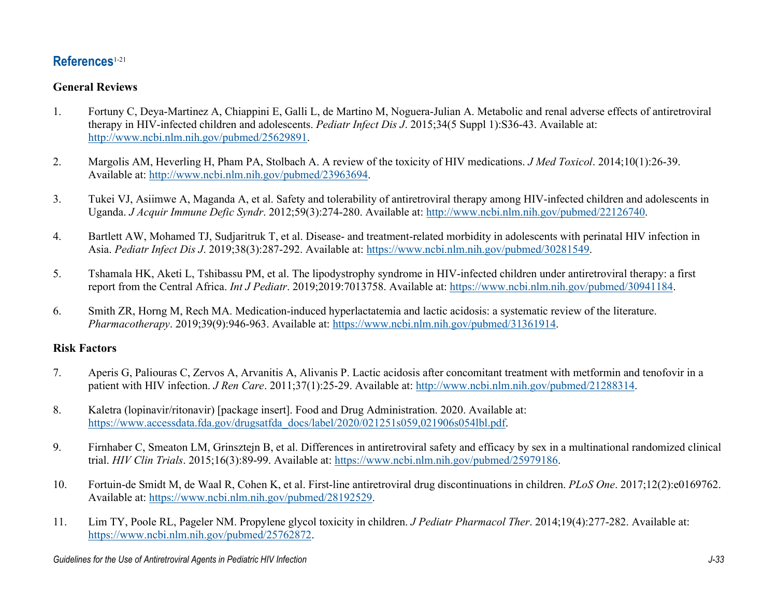# **References**[1-21](#page-2-0)

### **General Reviews**

- <span id="page-2-0"></span>1. Fortuny C, Deya-Martinez A, Chiappini E, Galli L, de Martino M, Noguera-Julian A. Metabolic and renal adverse effects of antiretroviral therapy in HIV-infected children and adolescents. *Pediatr Infect Dis J*. 2015;34(5 Suppl 1):S36-43. Available at: [http://www.ncbi.nlm.nih.gov/pubmed/25629891.](http://www.ncbi.nlm.nih.gov/pubmed/25629891)
- 2. Margolis AM, Heverling H, Pham PA, Stolbach A. A review of the toxicity of HIV medications. *J Med Toxicol*. 2014;10(1):26-39. Available at: [http://www.ncbi.nlm.nih.gov/pubmed/23963694.](http://www.ncbi.nlm.nih.gov/pubmed/23963694)
- 3. Tukei VJ, Asiimwe A, Maganda A, et al. Safety and tolerability of antiretroviral therapy among HIV-infected children and adolescents in Uganda. *J Acquir Immune Defic Syndr*. 2012;59(3):274-280. Available at: [http://www.ncbi.nlm.nih.gov/pubmed/22126740.](http://www.ncbi.nlm.nih.gov/pubmed/22126740)
- 4. Bartlett AW, Mohamed TJ, Sudjaritruk T, et al. Disease- and treatment-related morbidity in adolescents with perinatal HIV infection in Asia. *Pediatr Infect Dis J*. 2019;38(3):287-292. Available at: [https://www.ncbi.nlm.nih.gov/pubmed/30281549.](https://www.ncbi.nlm.nih.gov/pubmed/30281549)
- 5. Tshamala HK, Aketi L, Tshibassu PM, et al. The lipodystrophy syndrome in HIV-infected children under antiretroviral therapy: a first report from the Central Africa. *Int J Pediatr*. 2019;2019:7013758. Available at: [https://www.ncbi.nlm.nih.gov/pubmed/30941184.](https://www.ncbi.nlm.nih.gov/pubmed/30941184)
- 6. Smith ZR, Horng M, Rech MA. Medication-induced hyperlactatemia and lactic acidosis: a systematic review of the literature. *Pharmacotherapy*. 2019;39(9):946-963. Available at: [https://www.ncbi.nlm.nih.gov/pubmed/31361914.](https://www.ncbi.nlm.nih.gov/pubmed/31361914)

#### **Risk Factors**

- 7. Aperis G, Paliouras C, Zervos A, Arvanitis A, Alivanis P. Lactic acidosis after concomitant treatment with metformin and tenofovir in a patient with HIV infection. *J Ren Care*. 2011;37(1):25-29. Available at[: http://www.ncbi.nlm.nih.gov/pubmed/21288314.](http://www.ncbi.nlm.nih.gov/pubmed/21288314)
- 8. Kaletra (lopinavir/ritonavir) [package insert]. Food and Drug Administration. 2020. Available at: [https://www.accessdata.fda.gov/drugsatfda\\_docs/label/2020/021251s059,021906s054lbl.pdf.](https://www.accessdata.fda.gov/drugsatfda_docs/label/2020/021251s059,021906s054lbl.pdf)
- 9. Firnhaber C, Smeaton LM, Grinsztejn B, et al. Differences in antiretroviral safety and efficacy by sex in a multinational randomized clinical trial. *HIV Clin Trials*. 2015;16(3):89-99. Available at: [https://www.ncbi.nlm.nih.gov/pubmed/25979186.](https://www.ncbi.nlm.nih.gov/pubmed/25979186)
- 10. Fortuin-de Smidt M, de Waal R, Cohen K, et al. First-line antiretroviral drug discontinuations in children. *PLoS One*. 2017;12(2):e0169762. Available at: [https://www.ncbi.nlm.nih.gov/pubmed/28192529.](https://www.ncbi.nlm.nih.gov/pubmed/28192529)
- 11. Lim TY, Poole RL, Pageler NM. Propylene glycol toxicity in children. *J Pediatr Pharmacol Ther*. 2014;19(4):277-282. Available at: [https://www.ncbi.nlm.nih.gov/pubmed/25762872.](https://www.ncbi.nlm.nih.gov/pubmed/25762872)